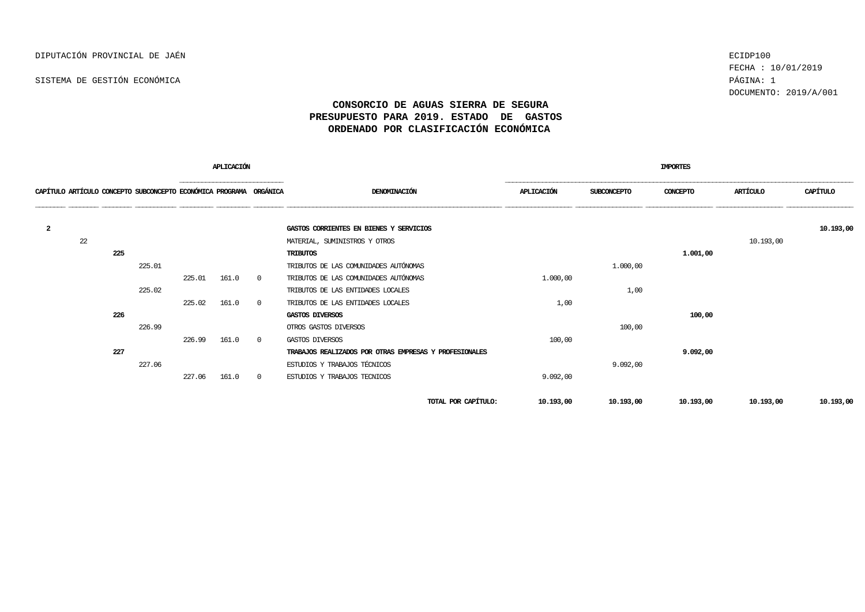SISTEMA DE GESTIÓN ECONÓMICA PÁGINA: 1

FECHA : 10/01/2019 DOCUMENTO: 2019/A/001

## **CONSORCIO DE AGUAS SIERRA DE SEGURA PRESUPUESTO PARA 2019. ESTADO DE GASTOS ORDENADO POR CLASIFICACIÓN ECONÓMICA**

| APLICACIÓN     |    |     |                                                                    |        |       |                |                                                        | <b>IMPORTES</b> |             |           |           |           |
|----------------|----|-----|--------------------------------------------------------------------|--------|-------|----------------|--------------------------------------------------------|-----------------|-------------|-----------|-----------|-----------|
|                |    |     | CAPÍTULO ARTÍCULO CONCEPTO SUBCONCEPTO ECONÓMICA PROGRAMA ORGÁNICA |        |       |                | DENOMINACIÓN                                           | APLICACIÓN      | SUBCONCEPTO | CONCEPTO  | ARTÍCULO  | CAPÍTULO  |
|                |    |     |                                                                    |        |       |                |                                                        |                 |             |           |           |           |
| $\overline{a}$ |    |     |                                                                    |        |       |                | GASTOS CORRIENTES EN BIENES Y SERVICIOS                |                 |             |           |           | 10.193,00 |
|                | 22 |     |                                                                    |        |       |                | MATERIAL, SUMINISTROS Y OTROS                          |                 |             |           | 10.193,00 |           |
|                |    | 225 |                                                                    |        |       |                | <b>TRIBUTOS</b>                                        |                 |             | 1.001,00  |           |           |
|                |    |     | 225.01                                                             |        |       |                | TRIBUTOS DE LAS COMUNIDADES AUTÓNOMAS                  |                 | 1.000,00    |           |           |           |
|                |    |     |                                                                    | 225.01 | 161.0 | $\Omega$       | TRIBUTOS DE LAS COMUNIDADES AUTÓNOMAS                  | 1.000,00        |             |           |           |           |
|                |    |     | 225.02                                                             |        |       |                | TRIBUTOS DE LAS ENTIDADES LOCALES                      |                 | 1,00        |           |           |           |
|                |    |     |                                                                    | 225.02 | 161.0 | $\Omega$       | TRIBUTOS DE LAS ENTIDADES LOCALES                      | 1,00            |             |           |           |           |
|                |    | 226 |                                                                    |        |       |                | GASTOS DIVERSOS                                        |                 |             | 100,00    |           |           |
|                |    |     | 226.99                                                             |        |       |                | OTROS GASTOS DIVERSOS                                  |                 | 100,00      |           |           |           |
|                |    |     |                                                                    | 226.99 | 161.0 | $\overline{0}$ | GASTOS DIVERSOS                                        | 100,00          |             |           |           |           |
|                |    | 227 |                                                                    |        |       |                | TRABAJOS REALIZADOS POR OTRAS EMPRESAS Y PROFESIONALES |                 |             | 9.092,00  |           |           |
|                |    |     | 227.06                                                             |        |       |                | ESTUDIOS Y TRABAJOS TÉCNICOS                           |                 | 9.092,00    |           |           |           |
|                |    |     |                                                                    | 227.06 | 161.0 | $\overline{0}$ | ESTUDIOS Y TRABAJOS TECNICOS                           | 9.092,00        |             |           |           |           |
|                |    |     |                                                                    |        |       |                | TOTAL POR CAPÍTULO:                                    | 10.193,00       | 10.193,00   | 10.193,00 | 10.193,00 | 10.193,00 |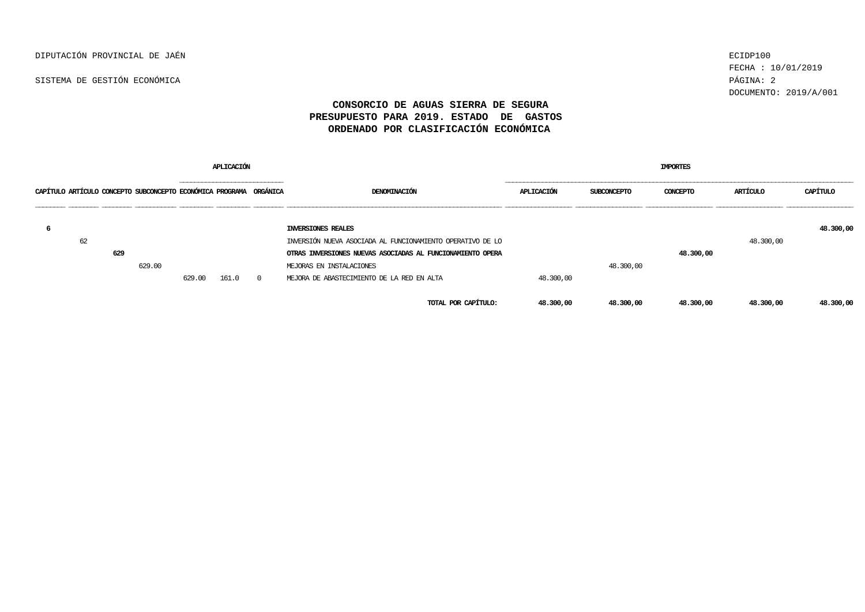DIPUTACIÓN PROVINCIAL DE JAÉN ECIDP100

SISTEMA DE GESTIÓN ECONÓMICA PÁGINA: 2

FECHA : 10/01/2019 DOCUMENTO: 2019/A/001

## **CONSORCIO DE AGUAS SIERRA DE SEGURA PRESUPUESTO PARA 2019. ESTADO DE GASTOS ORDENADO POR CLASIFICACIÓN ECONÓMICA**

| <b>APLICACIÓN</b> |    |     |                                                                    |        |       |          |                                                            | <b>IMPORTES</b>   |             |           |           |           |  |  |
|-------------------|----|-----|--------------------------------------------------------------------|--------|-------|----------|------------------------------------------------------------|-------------------|-------------|-----------|-----------|-----------|--|--|
|                   |    |     | CAPÍTULO ARTÍCULO CONCEPTO SUBCONCEPTO ECONÓMICA PROGRAMA ORGÁNICA |        |       |          | DENOMINACIÓN                                               | <b>APLICACIÓN</b> | SUBCONCEPTO | CONCEPTO  | ARTÍCULO  | CAPÍTULO  |  |  |
| -6                |    |     |                                                                    |        |       |          | INVERSIONES REALES                                         |                   |             |           |           | 48.300,00 |  |  |
|                   | 62 |     |                                                                    |        |       |          | INVERSIÓN NUEVA ASOCIADA AL FUNCIONAMIENTO OPERATIVO DE LO |                   |             |           | 48,300,00 |           |  |  |
|                   |    | 629 |                                                                    |        |       |          | OTRAS INVERSIONES NUEVAS ASOCIADAS AL FUNCIONAMIENTO OPERA |                   |             | 48.300,00 |           |           |  |  |
|                   |    |     | 629.00                                                             |        |       |          | MEJORAS EN INSTALACIONES                                   |                   | 48.300,00   |           |           |           |  |  |
|                   |    |     |                                                                    | 629.00 | 161.0 | $\Omega$ | MEJORA DE ABASTECIMIENTO DE LA RED EN ALTA                 | 48.300,00         |             |           |           |           |  |  |
|                   |    |     |                                                                    |        |       |          | TOTAL POR CAPÍTULO:                                        | 48.300,00         | 48.300,00   | 48.300,00 | 48.300,00 | 48.300,00 |  |  |